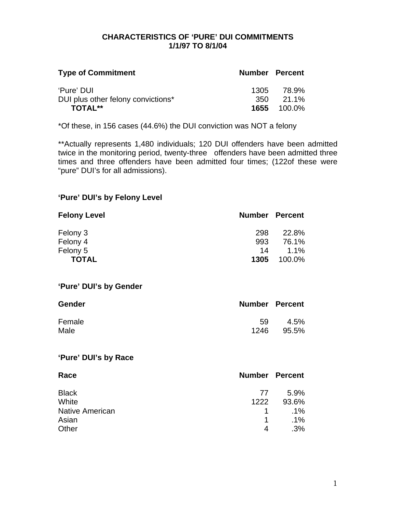#### **CHARACTERISTICS OF 'PURE' DUI COMMITMENTS 1/1/97 TO 8/1/04**

| <b>Type of Commitment</b>                        | <b>Number Percent</b> |                    |
|--------------------------------------------------|-----------------------|--------------------|
| 'Pure' DUI<br>DUI plus other felony convictions* | 1305<br>350.          | 78.9%<br>$21.1\%$  |
| <b>TOTAL**</b>                                   |                       | <b>1655</b> 100.0% |

\*Of these, in 156 cases (44.6%) the DUI conviction was NOT a felony

\*\*Actually represents 1,480 individuals; 120 DUI offenders have been admitted twice in the monitoring period, twenty-three offenders have been admitted three times and three offenders have been admitted four times; (122of these were "pure" DUI's for all admissions).

### **'Pure' DUI's by Felony Level**

| <b>Felony Level</b>    | <b>Number Percent</b> |        |
|------------------------|-----------------------|--------|
| Felony 3               | 298                   | 22.8%  |
| Felony 4               | 993                   | 76.1%  |
| Felony 5               | 14                    | 1.1%   |
| <b>TOTAL</b>           | 1305                  | 100.0% |
| 'Pure' DUI's by Gender |                       |        |
| Gender                 | <b>Number Percent</b> |        |
| Female                 | 59                    | 4.5%   |
| Male                   | 1246                  | 95.5%  |
| 'Pure' DUI's by Race   |                       |        |
| Race                   | <b>Number Percent</b> |        |
| <b>Black</b>           | 77                    | 5.9%   |
| White                  | 1222                  | 93.6%  |
| <b>Native American</b> | 1                     | $.1\%$ |
| Asian                  | 1                     | $.1\%$ |
| Other                  | 4                     | .3%    |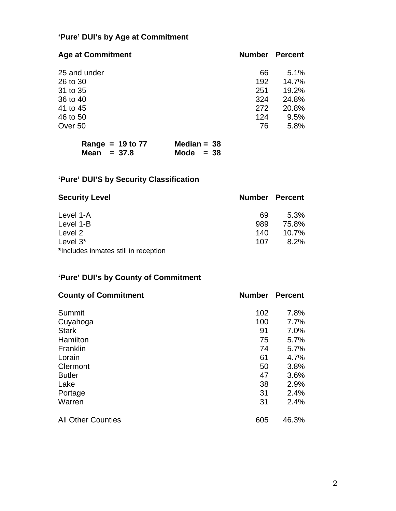# **'Pure' DUI's by Age at Commitment**

| <b>Age at Commitment</b> | <b>Number</b> | <b>Percent</b> |
|--------------------------|---------------|----------------|
| 25 and under             | 66            | 5.1%           |
| 26 to 30                 | 192           | 14.7%          |
| 31 to 35                 | 251           | 19.2%          |
| 36 to 40                 | 324           | 24.8%          |
| 41 to 45                 | 272           | 20.8%          |
| 46 to 50                 | 124           | 9.5%           |
| Over 50                  | 76            | 5.8%           |

| Range = $19$ to $77$ | Median = $38$ |
|----------------------|---------------|
| Mean $= 37.8$        | Mode $= 38$   |

# **'Pure' DUI'S by Security Classification**

| <b>Security Level</b>                | <b>Number Percent</b> |          |
|--------------------------------------|-----------------------|----------|
| Level 1-A                            | 69                    | $5.3\%$  |
| Level 1-B                            | 989                   | 75.8%    |
| Level 2                              | 140                   | $10.7\%$ |
| Level $3^*$                          | 107                   | 8.2%     |
| *Includes inmates still in reception |                       |          |

# **'Pure' DUI's by County of Commitment**

| <b>County of Commitment</b> | <b>Number</b> | <b>Percent</b> |
|-----------------------------|---------------|----------------|
| Summit                      | 102           | 7.8%           |
| Cuyahoga                    | 100           | 7.7%           |
| <b>Stark</b>                | 91            | 7.0%           |
| Hamilton                    | 75            | 5.7%           |
| Franklin                    | 74            | 5.7%           |
| Lorain                      | 61            | 4.7%           |
| Clermont                    | 50            | 3.8%           |
| <b>Butler</b>               | 47            | 3.6%           |
| Lake                        | 38            | 2.9%           |
| Portage                     | 31            | 2.4%           |
| Warren                      | 31            | 2.4%           |
| <b>All Other Counties</b>   | 605           | 46.3%          |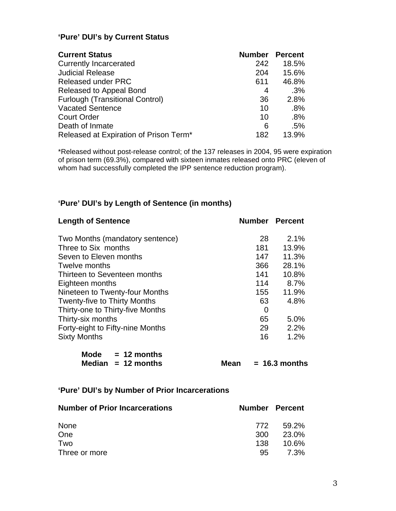# **'Pure' DUI's by Current Status**

| <b>Current Status</b>                  | <b>Number</b> | <b>Percent</b> |
|----------------------------------------|---------------|----------------|
| <b>Currently Incarcerated</b>          | 242           | 18.5%          |
| <b>Judicial Release</b>                | 204           | 15.6%          |
| <b>Released under PRC</b>              | 611           | 46.8%          |
| Released to Appeal Bond                | 4             | .3%            |
| <b>Furlough (Transitional Control)</b> | 36            | 2.8%           |
| <b>Vacated Sentence</b>                | 10            | $.8\%$         |
| <b>Court Order</b>                     | 10            | .8%            |
| Death of Inmate                        | 6             | .5%            |
| Released at Expiration of Prison Term* | 182           | 13.9%          |

\*Released without post-release control; of the 137 releases in 2004, 95 were expiration of prison term (69.3%), compared with sixteen inmates released onto PRC (eleven of whom had successfully completed the IPP sentence reduction program).

# **'Pure' DUI's by Length of Sentence (in months)**

| <b>Length of Sentence</b>           |      |     | <b>Number Percent</b> |
|-------------------------------------|------|-----|-----------------------|
| Two Months (mandatory sentence)     |      | 28  | 2.1%                  |
| Three to Six months                 |      | 181 | 13.9%                 |
| Seven to Eleven months              |      | 147 | 11.3%                 |
| Twelve months                       |      | 366 | 28.1%                 |
| Thirteen to Seventeen months        |      | 141 | 10.8%                 |
| Eighteen months                     |      | 114 | 8.7%                  |
| Nineteen to Twenty-four Months      |      | 155 | 11.9%                 |
| <b>Twenty-five to Thirty Months</b> |      | 63  | 4.8%                  |
| Thirty-one to Thirty-five Months    |      | 0   |                       |
| Thirty-six months                   |      | 65  | 5.0%                  |
| Forty-eight to Fifty-nine Months    |      | 29  | 2.2%                  |
| <b>Sixty Months</b>                 |      | 16  | 1.2%                  |
| Mode $= 12$ months                  |      |     |                       |
| Median $= 12$ months                | Mean |     | $= 16.3$ months       |

| 'Pure' DUI's by Number of Prior Incarcerations |
|------------------------------------------------|
|------------------------------------------------|

| <b>Number of Prior Incarcerations</b> | <b>Number Percent</b> |          |
|---------------------------------------|-----------------------|----------|
| <b>None</b>                           | 772                   | 59.2%    |
| One                                   | .300                  | 23.0%    |
| Two                                   | 138                   | $10.6\%$ |
| Three or more                         | 95                    | 7.3%     |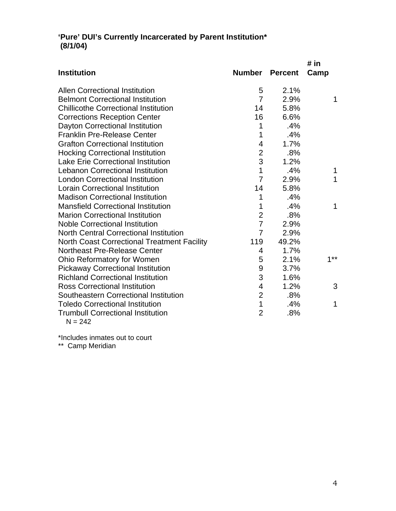### **'Pure' DUI's Currently Incarcerated by Parent Institution\* (8/1/04)**

|                                                    |                |                | # in  |
|----------------------------------------------------|----------------|----------------|-------|
| <b>Institution</b>                                 | Number         | <b>Percent</b> | Camp  |
| <b>Allen Correctional Institution</b>              | 5              | 2.1%           |       |
| <b>Belmont Correctional Institution</b>            | 7              | 2.9%           | 1     |
| <b>Chillicothe Correctional Institution</b>        | 14             | 5.8%           |       |
| <b>Corrections Reception Center</b>                | 16             | 6.6%           |       |
| Dayton Correctional Institution                    | 1              | .4%            |       |
| <b>Franklin Pre-Release Center</b>                 | 1              | .4%            |       |
| <b>Grafton Correctional Institution</b>            | 4              | 1.7%           |       |
| <b>Hocking Correctional Institution</b>            | $\overline{2}$ | .8%            |       |
| <b>Lake Erie Correctional Institution</b>          | 3              | 1.2%           |       |
| <b>Lebanon Correctional Institution</b>            | 1              | .4%            | 1     |
| <b>London Correctional Institution</b>             | $\overline{7}$ | 2.9%           | 1     |
| <b>Lorain Correctional Institution</b>             | 14             | 5.8%           |       |
| <b>Madison Correctional Institution</b>            | 1              | .4%            |       |
| <b>Mansfield Correctional Institution</b>          | 1              | .4%            | 1     |
| <b>Marion Correctional Institution</b>             | $\overline{2}$ | .8%            |       |
| <b>Noble Correctional Institution</b>              | $\overline{7}$ | 2.9%           |       |
| <b>North Central Correctional Institution</b>      | $\overline{7}$ | 2.9%           |       |
| <b>North Coast Correctional Treatment Facility</b> | 119            | 49.2%          |       |
| Northeast Pre-Release Center                       | 4              | 1.7%           |       |
| Ohio Reformatory for Women                         | 5              | 2.1%           | $1**$ |
| <b>Pickaway Correctional Institution</b>           | 9              | 3.7%           |       |
| <b>Richland Correctional Institution</b>           | 3              | 1.6%           |       |
| <b>Ross Correctional Institution</b>               | 4              | 1.2%           | 3     |
| Southeastern Correctional Institution              | $\overline{2}$ | .8%            |       |
| <b>Toledo Correctional Institution</b>             | 1              | .4%            | 1     |
| <b>Trumbull Correctional Institution</b>           | $\overline{2}$ | .8%            |       |
| $N = 242$                                          |                |                |       |

\*Includes inmates out to court

\*\* Camp Meridian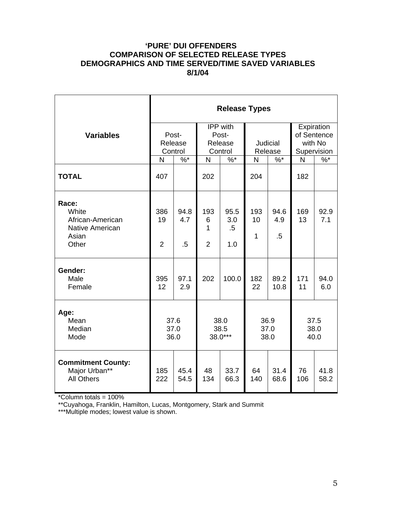## **'PURE' DUI OFFENDERS COMPARISON OF SELECTED RELEASE TYPES DEMOGRAPHICS AND TIME SERVED/TIME SAVED VARIABLES 8/1/04**

|                                                                         | <b>Release Types</b>                                                          |                       |                                 |                              |                     |                       |           |                      |                                                     |  |
|-------------------------------------------------------------------------|-------------------------------------------------------------------------------|-----------------------|---------------------------------|------------------------------|---------------------|-----------------------|-----------|----------------------|-----------------------------------------------------|--|
| <b>Variables</b>                                                        | <b>IPP</b> with<br>Post-<br>Post-<br>Release<br>Release<br>Control<br>Control |                       |                                 |                              | Judicial<br>Release |                       |           |                      | Expiration<br>of Sentence<br>with No<br>Supervision |  |
|                                                                         | N                                                                             | $%^*$                 | N                               | $\%$ *                       | N                   | $\frac{9}{6}$         | N         | $\%$ *               |                                                     |  |
| <b>TOTAL</b>                                                            | 407                                                                           |                       | 202                             |                              | 204                 |                       | 182       |                      |                                                     |  |
| Race:<br>White<br>African-American<br>Native American<br>Asian<br>Other | 386<br>19<br>$\overline{2}$                                                   | 94.8<br>4.7<br>$.5\,$ | 193<br>6<br>1<br>$\overline{2}$ | 95.5<br>3.0<br>$.5\,$<br>1.0 | 193<br>10<br>1      | 94.6<br>4.9<br>$.5\,$ | 169<br>13 | 92.9<br>7.1          |                                                     |  |
| Gender:<br>Male<br>Female                                               | 395<br>12                                                                     | 97.1<br>2.9           | 202                             | 100.0                        | 182<br>22           | 89.2<br>10.8          | 171<br>11 | 94.0<br>6.0          |                                                     |  |
| Age:<br>Mean<br>Median<br>Mode                                          |                                                                               | 37.6<br>37.0<br>36.0  |                                 | 38.0<br>38.5<br>$38.0***$    |                     | 36.9<br>37.0<br>38.0  |           | 37.5<br>38.0<br>40.0 |                                                     |  |
| <b>Commitment County:</b><br>Major Urban**<br><b>All Others</b>         | 185<br>222                                                                    | 45.4<br>54.5          | 48<br>134                       | 33.7<br>66.3                 | 64<br>140           | 31.4<br>68.6          | 76<br>106 | 41.8<br>58.2         |                                                     |  |

\*Column totals = 100%

\*\*Cuyahoga, Franklin, Hamilton, Lucas, Montgomery, Stark and Summit

\*\*\*Multiple modes; lowest value is shown.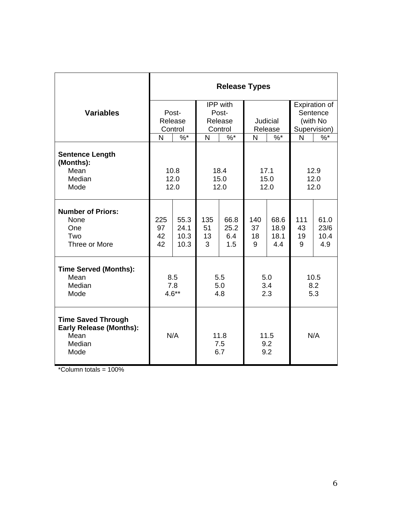|                                                                                       | <b>Release Types</b>        |                              |                      |                            |                      |                             |                      |                             |
|---------------------------------------------------------------------------------------|-----------------------------|------------------------------|----------------------|----------------------------|----------------------|-----------------------------|----------------------|-----------------------------|
|                                                                                       |                             |                              | IPP with             |                            |                      |                             | Expiration of        |                             |
| <b>Variables</b>                                                                      | Post-<br>Release<br>Control |                              | Post-                |                            |                      |                             | Sentence             |                             |
|                                                                                       |                             |                              | Release              |                            | Judicial             |                             | (with No             |                             |
|                                                                                       |                             |                              | Control              |                            | Release              |                             | Supervision)         |                             |
|                                                                                       | N                           | $\%$ *                       | N                    | $\%$ *                     | N                    | $\%$ *                      | N                    | $\%$                        |
| <b>Sentence Length</b><br>(Months):<br>Mean<br>Median<br>Mode                         |                             | 10.8<br>12.0<br>12.0         |                      | 18.4<br>15.0<br>12.0       | 17.1<br>15.0<br>12.0 |                             | 12.9<br>12.0<br>12.0 |                             |
| <b>Number of Priors:</b><br>None<br>One<br>Two<br>Three or More                       | 225<br>97<br>42<br>42       | 55.3<br>24.1<br>10.3<br>10.3 | 135<br>51<br>13<br>3 | 66.8<br>25.2<br>6.4<br>1.5 | 140<br>37<br>18<br>9 | 68.6<br>18.9<br>18.1<br>4.4 | 111<br>43<br>19<br>9 | 61.0<br>23/6<br>10.4<br>4.9 |
| <b>Time Served (Months):</b><br>Mean<br>Median<br>Mode                                | 8.5<br>7.8<br>$4.6**$       |                              | 5.5<br>5.0<br>4.8    |                            | 5.0<br>3.4<br>2.3    |                             | 10.5<br>8.2<br>5.3   |                             |
| <b>Time Saved Through</b><br><b>Early Release (Months):</b><br>Mean<br>Median<br>Mode | N/A                         |                              | 11.8<br>7.5<br>6.7   |                            | 11.5<br>9.2<br>9.2   |                             | N/A                  |                             |

\*Column totals = 100%